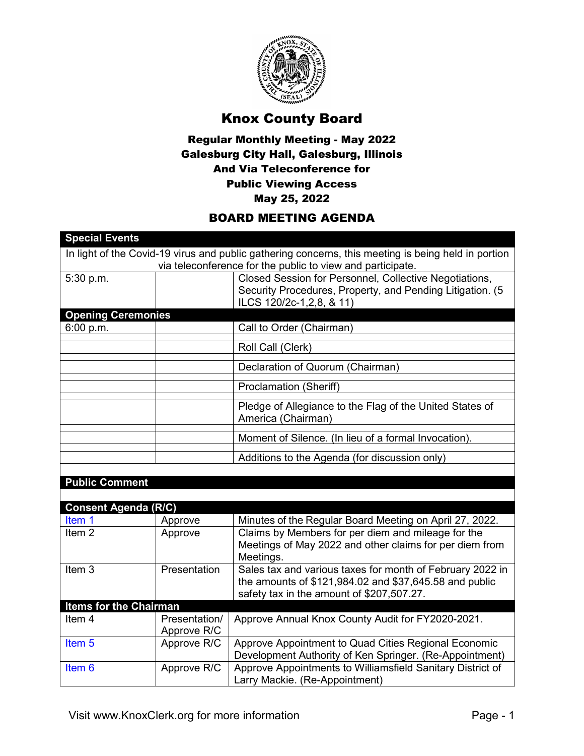

## Knox County Board

## Regular Monthly Meeting - May 2022 Galesburg City Hall, Galesburg, Illinois And Via Teleconference for Public Viewing Access May 25, 2022

## BOARD MEETING AGENDA

| In light of the Covid-19 virus and public gathering concerns, this meeting is being held in portion<br>via teleconference for the public to view and participate.<br>Closed Session for Personnel, Collective Negotiations,<br>5:30 p.m.<br>Security Procedures, Property, and Pending Litigation. (5<br>ILCS 120/2c-1,2,8, & 11)<br><b>Opening Ceremonies</b><br>6:00 p.m.<br>Call to Order (Chairman)<br>Roll Call (Clerk)<br>Declaration of Quorum (Chairman)<br><b>Proclamation (Sheriff)</b><br>Pledge of Allegiance to the Flag of the United States of<br>America (Chairman)<br>Moment of Silence. (In lieu of a formal Invocation).<br>Additions to the Agenda (for discussion only)<br><b>Public Comment</b><br><b>Consent Agenda (R/C)</b><br>Minutes of the Regular Board Meeting on April 27, 2022.<br>Item 1<br>Approve<br>Claims by Members for per diem and mileage for the<br>Item <sub>2</sub><br>Approve<br>Meetings of May 2022 and other claims for per diem from<br>Meetings.<br>Item <sub>3</sub><br>Sales tax and various taxes for month of February 2022 in<br>Presentation<br>the amounts of \$121,984.02 and \$37,645.58 and public<br>safety tax in the amount of \$207,507.27.<br><b>Items for the Chairman</b><br>Item <sub>4</sub><br>Presentation/<br>Approve Annual Knox County Audit for FY2020-2021.<br>Approve R/C<br>Item <sub>5</sub><br>Approve Appointment to Quad Cities Regional Economic<br>Approve R/C<br>Development Authority of Ken Springer. (Re-Appointment)<br>Approve Appointments to Williamsfield Sanitary District of<br>Item <sub>6</sub><br>Approve R/C<br>Larry Mackie. (Re-Appointment) |                       |  |
|---------------------------------------------------------------------------------------------------------------------------------------------------------------------------------------------------------------------------------------------------------------------------------------------------------------------------------------------------------------------------------------------------------------------------------------------------------------------------------------------------------------------------------------------------------------------------------------------------------------------------------------------------------------------------------------------------------------------------------------------------------------------------------------------------------------------------------------------------------------------------------------------------------------------------------------------------------------------------------------------------------------------------------------------------------------------------------------------------------------------------------------------------------------------------------------------------------------------------------------------------------------------------------------------------------------------------------------------------------------------------------------------------------------------------------------------------------------------------------------------------------------------------------------------------------------------------------------------------------------------------------------------------|-----------------------|--|
|                                                                                                                                                                                                                                                                                                                                                                                                                                                                                                                                                                                                                                                                                                                                                                                                                                                                                                                                                                                                                                                                                                                                                                                                                                                                                                                                                                                                                                                                                                                                                                                                                                                   | <b>Special Events</b> |  |
|                                                                                                                                                                                                                                                                                                                                                                                                                                                                                                                                                                                                                                                                                                                                                                                                                                                                                                                                                                                                                                                                                                                                                                                                                                                                                                                                                                                                                                                                                                                                                                                                                                                   |                       |  |
|                                                                                                                                                                                                                                                                                                                                                                                                                                                                                                                                                                                                                                                                                                                                                                                                                                                                                                                                                                                                                                                                                                                                                                                                                                                                                                                                                                                                                                                                                                                                                                                                                                                   |                       |  |
|                                                                                                                                                                                                                                                                                                                                                                                                                                                                                                                                                                                                                                                                                                                                                                                                                                                                                                                                                                                                                                                                                                                                                                                                                                                                                                                                                                                                                                                                                                                                                                                                                                                   |                       |  |
|                                                                                                                                                                                                                                                                                                                                                                                                                                                                                                                                                                                                                                                                                                                                                                                                                                                                                                                                                                                                                                                                                                                                                                                                                                                                                                                                                                                                                                                                                                                                                                                                                                                   |                       |  |
|                                                                                                                                                                                                                                                                                                                                                                                                                                                                                                                                                                                                                                                                                                                                                                                                                                                                                                                                                                                                                                                                                                                                                                                                                                                                                                                                                                                                                                                                                                                                                                                                                                                   |                       |  |
|                                                                                                                                                                                                                                                                                                                                                                                                                                                                                                                                                                                                                                                                                                                                                                                                                                                                                                                                                                                                                                                                                                                                                                                                                                                                                                                                                                                                                                                                                                                                                                                                                                                   |                       |  |
|                                                                                                                                                                                                                                                                                                                                                                                                                                                                                                                                                                                                                                                                                                                                                                                                                                                                                                                                                                                                                                                                                                                                                                                                                                                                                                                                                                                                                                                                                                                                                                                                                                                   |                       |  |
|                                                                                                                                                                                                                                                                                                                                                                                                                                                                                                                                                                                                                                                                                                                                                                                                                                                                                                                                                                                                                                                                                                                                                                                                                                                                                                                                                                                                                                                                                                                                                                                                                                                   |                       |  |
|                                                                                                                                                                                                                                                                                                                                                                                                                                                                                                                                                                                                                                                                                                                                                                                                                                                                                                                                                                                                                                                                                                                                                                                                                                                                                                                                                                                                                                                                                                                                                                                                                                                   |                       |  |
|                                                                                                                                                                                                                                                                                                                                                                                                                                                                                                                                                                                                                                                                                                                                                                                                                                                                                                                                                                                                                                                                                                                                                                                                                                                                                                                                                                                                                                                                                                                                                                                                                                                   |                       |  |
|                                                                                                                                                                                                                                                                                                                                                                                                                                                                                                                                                                                                                                                                                                                                                                                                                                                                                                                                                                                                                                                                                                                                                                                                                                                                                                                                                                                                                                                                                                                                                                                                                                                   |                       |  |
|                                                                                                                                                                                                                                                                                                                                                                                                                                                                                                                                                                                                                                                                                                                                                                                                                                                                                                                                                                                                                                                                                                                                                                                                                                                                                                                                                                                                                                                                                                                                                                                                                                                   |                       |  |
|                                                                                                                                                                                                                                                                                                                                                                                                                                                                                                                                                                                                                                                                                                                                                                                                                                                                                                                                                                                                                                                                                                                                                                                                                                                                                                                                                                                                                                                                                                                                                                                                                                                   |                       |  |
|                                                                                                                                                                                                                                                                                                                                                                                                                                                                                                                                                                                                                                                                                                                                                                                                                                                                                                                                                                                                                                                                                                                                                                                                                                                                                                                                                                                                                                                                                                                                                                                                                                                   |                       |  |
|                                                                                                                                                                                                                                                                                                                                                                                                                                                                                                                                                                                                                                                                                                                                                                                                                                                                                                                                                                                                                                                                                                                                                                                                                                                                                                                                                                                                                                                                                                                                                                                                                                                   |                       |  |
|                                                                                                                                                                                                                                                                                                                                                                                                                                                                                                                                                                                                                                                                                                                                                                                                                                                                                                                                                                                                                                                                                                                                                                                                                                                                                                                                                                                                                                                                                                                                                                                                                                                   |                       |  |
|                                                                                                                                                                                                                                                                                                                                                                                                                                                                                                                                                                                                                                                                                                                                                                                                                                                                                                                                                                                                                                                                                                                                                                                                                                                                                                                                                                                                                                                                                                                                                                                                                                                   |                       |  |
|                                                                                                                                                                                                                                                                                                                                                                                                                                                                                                                                                                                                                                                                                                                                                                                                                                                                                                                                                                                                                                                                                                                                                                                                                                                                                                                                                                                                                                                                                                                                                                                                                                                   |                       |  |
|                                                                                                                                                                                                                                                                                                                                                                                                                                                                                                                                                                                                                                                                                                                                                                                                                                                                                                                                                                                                                                                                                                                                                                                                                                                                                                                                                                                                                                                                                                                                                                                                                                                   |                       |  |
|                                                                                                                                                                                                                                                                                                                                                                                                                                                                                                                                                                                                                                                                                                                                                                                                                                                                                                                                                                                                                                                                                                                                                                                                                                                                                                                                                                                                                                                                                                                                                                                                                                                   |                       |  |
|                                                                                                                                                                                                                                                                                                                                                                                                                                                                                                                                                                                                                                                                                                                                                                                                                                                                                                                                                                                                                                                                                                                                                                                                                                                                                                                                                                                                                                                                                                                                                                                                                                                   |                       |  |
|                                                                                                                                                                                                                                                                                                                                                                                                                                                                                                                                                                                                                                                                                                                                                                                                                                                                                                                                                                                                                                                                                                                                                                                                                                                                                                                                                                                                                                                                                                                                                                                                                                                   |                       |  |
|                                                                                                                                                                                                                                                                                                                                                                                                                                                                                                                                                                                                                                                                                                                                                                                                                                                                                                                                                                                                                                                                                                                                                                                                                                                                                                                                                                                                                                                                                                                                                                                                                                                   |                       |  |
|                                                                                                                                                                                                                                                                                                                                                                                                                                                                                                                                                                                                                                                                                                                                                                                                                                                                                                                                                                                                                                                                                                                                                                                                                                                                                                                                                                                                                                                                                                                                                                                                                                                   |                       |  |
|                                                                                                                                                                                                                                                                                                                                                                                                                                                                                                                                                                                                                                                                                                                                                                                                                                                                                                                                                                                                                                                                                                                                                                                                                                                                                                                                                                                                                                                                                                                                                                                                                                                   |                       |  |
|                                                                                                                                                                                                                                                                                                                                                                                                                                                                                                                                                                                                                                                                                                                                                                                                                                                                                                                                                                                                                                                                                                                                                                                                                                                                                                                                                                                                                                                                                                                                                                                                                                                   |                       |  |
|                                                                                                                                                                                                                                                                                                                                                                                                                                                                                                                                                                                                                                                                                                                                                                                                                                                                                                                                                                                                                                                                                                                                                                                                                                                                                                                                                                                                                                                                                                                                                                                                                                                   |                       |  |
|                                                                                                                                                                                                                                                                                                                                                                                                                                                                                                                                                                                                                                                                                                                                                                                                                                                                                                                                                                                                                                                                                                                                                                                                                                                                                                                                                                                                                                                                                                                                                                                                                                                   |                       |  |
|                                                                                                                                                                                                                                                                                                                                                                                                                                                                                                                                                                                                                                                                                                                                                                                                                                                                                                                                                                                                                                                                                                                                                                                                                                                                                                                                                                                                                                                                                                                                                                                                                                                   |                       |  |
|                                                                                                                                                                                                                                                                                                                                                                                                                                                                                                                                                                                                                                                                                                                                                                                                                                                                                                                                                                                                                                                                                                                                                                                                                                                                                                                                                                                                                                                                                                                                                                                                                                                   |                       |  |
|                                                                                                                                                                                                                                                                                                                                                                                                                                                                                                                                                                                                                                                                                                                                                                                                                                                                                                                                                                                                                                                                                                                                                                                                                                                                                                                                                                                                                                                                                                                                                                                                                                                   |                       |  |
|                                                                                                                                                                                                                                                                                                                                                                                                                                                                                                                                                                                                                                                                                                                                                                                                                                                                                                                                                                                                                                                                                                                                                                                                                                                                                                                                                                                                                                                                                                                                                                                                                                                   |                       |  |
|                                                                                                                                                                                                                                                                                                                                                                                                                                                                                                                                                                                                                                                                                                                                                                                                                                                                                                                                                                                                                                                                                                                                                                                                                                                                                                                                                                                                                                                                                                                                                                                                                                                   |                       |  |
|                                                                                                                                                                                                                                                                                                                                                                                                                                                                                                                                                                                                                                                                                                                                                                                                                                                                                                                                                                                                                                                                                                                                                                                                                                                                                                                                                                                                                                                                                                                                                                                                                                                   |                       |  |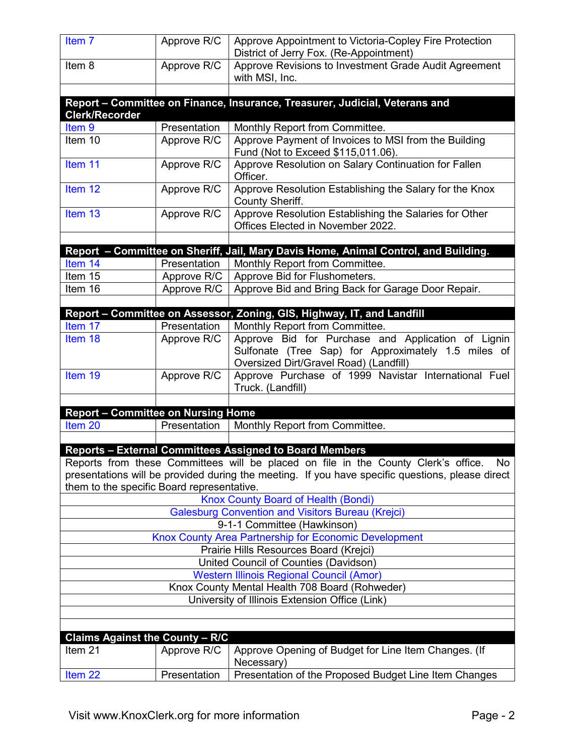| Item <sub>7</sub>                                                                                                                                                                                                                           | Approve R/C                | Approve Appointment to Victoria-Copley Fire Protection<br>District of Jerry Fox. (Re-Appointment)                                                   |  |  |  |
|---------------------------------------------------------------------------------------------------------------------------------------------------------------------------------------------------------------------------------------------|----------------------------|-----------------------------------------------------------------------------------------------------------------------------------------------------|--|--|--|
| Item 8                                                                                                                                                                                                                                      | Approve R/C                | Approve Revisions to Investment Grade Audit Agreement<br>with MSI, Inc.                                                                             |  |  |  |
|                                                                                                                                                                                                                                             |                            |                                                                                                                                                     |  |  |  |
| <b>Clerk/Recorder</b>                                                                                                                                                                                                                       |                            | Report - Committee on Finance, Insurance, Treasurer, Judicial, Veterans and                                                                         |  |  |  |
| Item <sub>9</sub>                                                                                                                                                                                                                           | Presentation               | Monthly Report from Committee.                                                                                                                      |  |  |  |
| Item 10                                                                                                                                                                                                                                     | Approve R/C                | Approve Payment of Invoices to MSI from the Building<br>Fund (Not to Exceed \$115,011.06).                                                          |  |  |  |
| Item 11                                                                                                                                                                                                                                     | Approve R/C                | Approve Resolution on Salary Continuation for Fallen<br>Officer.                                                                                    |  |  |  |
| Item 12                                                                                                                                                                                                                                     | Approve R/C                | Approve Resolution Establishing the Salary for the Knox<br><b>County Sheriff.</b>                                                                   |  |  |  |
| Item 13                                                                                                                                                                                                                                     | Approve R/C                | Approve Resolution Establishing the Salaries for Other<br>Offices Elected in November 2022.                                                         |  |  |  |
|                                                                                                                                                                                                                                             |                            |                                                                                                                                                     |  |  |  |
|                                                                                                                                                                                                                                             |                            | Report - Committee on Sheriff, Jail, Mary Davis Home, Animal Control, and Building.                                                                 |  |  |  |
| Item 14                                                                                                                                                                                                                                     | Presentation               | Monthly Report from Committee.                                                                                                                      |  |  |  |
| Item 15<br>Item 16                                                                                                                                                                                                                          | Approve R/C<br>Approve R/C | Approve Bid for Flushometers.<br>Approve Bid and Bring Back for Garage Door Repair.                                                                 |  |  |  |
|                                                                                                                                                                                                                                             |                            |                                                                                                                                                     |  |  |  |
|                                                                                                                                                                                                                                             |                            | Report - Committee on Assessor, Zoning, GIS, Highway, IT, and Landfill                                                                              |  |  |  |
| Item 17                                                                                                                                                                                                                                     | Presentation               | Monthly Report from Committee.                                                                                                                      |  |  |  |
| Item 18                                                                                                                                                                                                                                     | Approve R/C                | Approve Bid for Purchase and Application of Lignin<br>Sulfonate (Tree Sap) for Approximately 1.5 miles of<br>Oversized Dirt/Gravel Road) (Landfill) |  |  |  |
| Item 19                                                                                                                                                                                                                                     | Approve R/C                | Approve Purchase of 1999 Navistar International Fuel<br>Truck. (Landfill)                                                                           |  |  |  |
|                                                                                                                                                                                                                                             |                            |                                                                                                                                                     |  |  |  |
| <b>Report - Committee on Nursing Home</b>                                                                                                                                                                                                   |                            |                                                                                                                                                     |  |  |  |
| Item 20                                                                                                                                                                                                                                     | Presentation               | Monthly Report from Committee.                                                                                                                      |  |  |  |
|                                                                                                                                                                                                                                             |                            |                                                                                                                                                     |  |  |  |
| <b>Reports - External Committees Assigned to Board Members</b>                                                                                                                                                                              |                            |                                                                                                                                                     |  |  |  |
| Reports from these Committees will be placed on file in the County Clerk's office.<br>No.<br>presentations will be provided during the meeting. If you have specific questions, please direct<br>them to the specific Board representative. |                            |                                                                                                                                                     |  |  |  |
| <b>Knox County Board of Health (Bondi)</b>                                                                                                                                                                                                  |                            |                                                                                                                                                     |  |  |  |
| <b>Galesburg Convention and Visitors Bureau (Krejci)</b>                                                                                                                                                                                    |                            |                                                                                                                                                     |  |  |  |
| 9-1-1 Committee (Hawkinson)                                                                                                                                                                                                                 |                            |                                                                                                                                                     |  |  |  |
| Knox County Area Partnership for Economic Development                                                                                                                                                                                       |                            |                                                                                                                                                     |  |  |  |
| Prairie Hills Resources Board (Krejci)                                                                                                                                                                                                      |                            |                                                                                                                                                     |  |  |  |
| United Council of Counties (Davidson)                                                                                                                                                                                                       |                            |                                                                                                                                                     |  |  |  |
| <b>Western Illinois Regional Council (Amor)</b>                                                                                                                                                                                             |                            |                                                                                                                                                     |  |  |  |
| Knox County Mental Health 708 Board (Rohweder)                                                                                                                                                                                              |                            |                                                                                                                                                     |  |  |  |
|                                                                                                                                                                                                                                             |                            | University of Illinois Extension Office (Link)                                                                                                      |  |  |  |
|                                                                                                                                                                                                                                             |                            |                                                                                                                                                     |  |  |  |
|                                                                                                                                                                                                                                             |                            |                                                                                                                                                     |  |  |  |
| <b>Claims Against the County - R/C</b>                                                                                                                                                                                                      |                            |                                                                                                                                                     |  |  |  |
| Item 21                                                                                                                                                                                                                                     | Approve R/C                | Approve Opening of Budget for Line Item Changes. (If<br>Necessary)                                                                                  |  |  |  |
| Item 22                                                                                                                                                                                                                                     | Presentation               | Presentation of the Proposed Budget Line Item Changes                                                                                               |  |  |  |